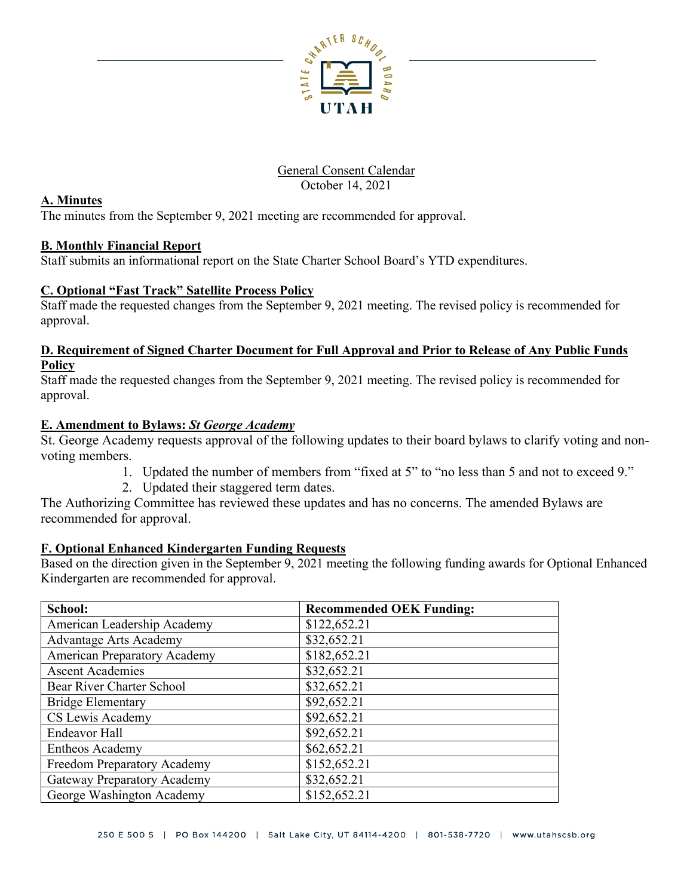

#### General Consent Calendar October 14, 2021

#### **A. Minutes**

The minutes from the September 9, 2021 meeting are recommended for approval.

# **B. Monthly Financial Report**

Staff submits an informational report on the State Charter School Board's YTD expenditures.

# **C. Optional "Fast Track" Satellite Process Policy**

Staff made the requested changes from the September 9, 2021 meeting. The revised policy is recommended for approval.

#### **D. Requirement of Signed Charter Document for Full Approval and Prior to Release of Any Public Funds Policy**

Staff made the requested changes from the September 9, 2021 meeting. The revised policy is recommended for approval.

# **E. Amendment to Bylaws:** *St George Academy*

St. George Academy requests approval of the following updates to their board bylaws to clarify voting and nonvoting members.

- 1. Updated the number of members from "fixed at 5" to "no less than 5 and not to exceed 9."
- 2. Updated their staggered term dates.

The Authorizing Committee has reviewed these updates and has no concerns. The amended Bylaws are recommended for approval.

# **F. Optional Enhanced Kindergarten Funding Requests**

Based on the direction given in the September 9, 2021 meeting the following funding awards for Optional Enhanced Kindergarten are recommended for approval.

| School:                             | <b>Recommended OEK Funding:</b> |
|-------------------------------------|---------------------------------|
| American Leadership Academy         | \$122,652.21                    |
| <b>Advantage Arts Academy</b>       | \$32,652.21                     |
| <b>American Preparatory Academy</b> | \$182,652.21                    |
| <b>Ascent Academies</b>             | \$32,652.21                     |
| Bear River Charter School           | \$32,652.21                     |
| <b>Bridge Elementary</b>            | \$92,652.21                     |
| CS Lewis Academy                    | \$92,652.21                     |
| <b>Endeavor Hall</b>                | \$92,652.21                     |
| Entheos Academy                     | \$62,652.21                     |
| Freedom Preparatory Academy         | \$152,652.21                    |
| <b>Gateway Preparatory Academy</b>  | \$32,652.21                     |
| George Washington Academy           | \$152,652.21                    |